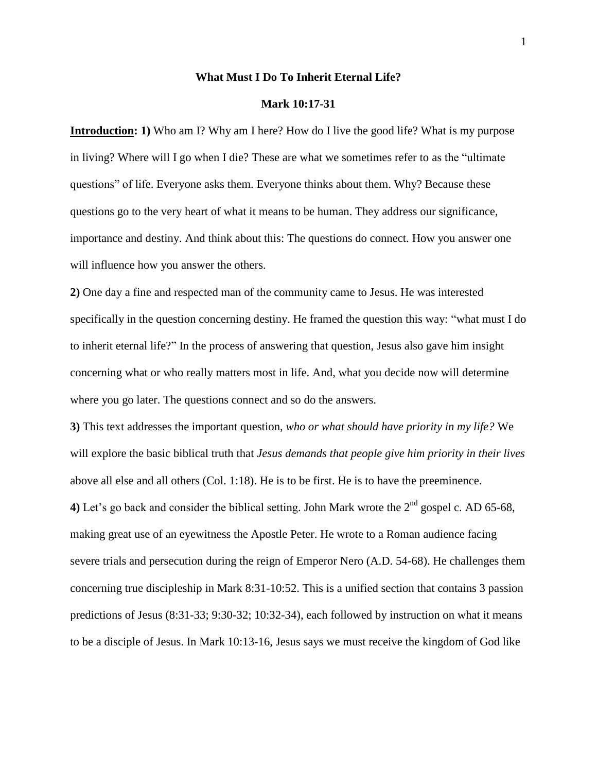## **What Must I Do To Inherit Eternal Life?**

#### **Mark 10:17-31**

**Introduction: 1)** Who am I? Why am I here? How do I live the good life? What is my purpose in living? Where will I go when I die? These are what we sometimes refer to as the "ultimate" questions" of life. Everyone asks them. Everyone thinks about them. Why? Because these questions go to the very heart of what it means to be human. They address our significance, importance and destiny. And think about this: The questions do connect. How you answer one will influence how you answer the others.

**2)** One day a fine and respected man of the community came to Jesus. He was interested specifically in the question concerning destiny. He framed the question this way: "what must I do to inherit eternal life?" In the process of answering that question, Jesus also gave him insight concerning what or who really matters most in life. And, what you decide now will determine where you go later. The questions connect and so do the answers.

**3)** This text addresses the important question, *who or what should have priority in my life?* We will explore the basic biblical truth that *Jesus demands that people give him priority in their lives* above all else and all others (Col. 1:18). He is to be first. He is to have the preeminence. **4)** Let's go back and consider the biblical setting. John Mark wrote the  $2<sup>nd</sup>$  gospel c. AD 65-68, making great use of an eyewitness the Apostle Peter. He wrote to a Roman audience facing severe trials and persecution during the reign of Emperor Nero (A.D. 54-68). He challenges them concerning true discipleship in Mark 8:31-10:52. This is a unified section that contains 3 passion predictions of Jesus (8:31-33; 9:30-32; 10:32-34), each followed by instruction on what it means to be a disciple of Jesus. In Mark 10:13-16, Jesus says we must receive the kingdom of God like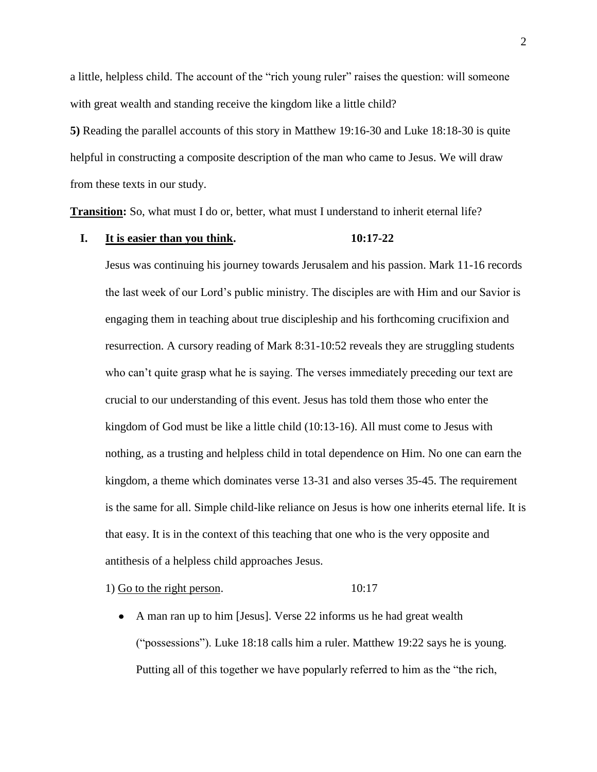a little, helpless child. The account of the "rich young ruler" raises the question: will someone with great wealth and standing receive the kingdom like a little child?

**5)** Reading the parallel accounts of this story in Matthew 19:16-30 and Luke 18:18-30 is quite helpful in constructing a composite description of the man who came to Jesus. We will draw from these texts in our study.

**Transition:** So, what must I do or, better, what must I understand to inherit eternal life?

# **I. It is easier than you think. 10:17-22**

Jesus was continuing his journey towards Jerusalem and his passion. Mark 11-16 records the last week of our Lord's public ministry. The disciples are with Him and our Savior is engaging them in teaching about true discipleship and his forthcoming crucifixion and resurrection. A cursory reading of Mark 8:31-10:52 reveals they are struggling students who can't quite grasp what he is saying. The verses immediately preceding our text are crucial to our understanding of this event. Jesus has told them those who enter the kingdom of God must be like a little child (10:13-16). All must come to Jesus with nothing, as a trusting and helpless child in total dependence on Him. No one can earn the kingdom, a theme which dominates verse 13-31 and also verses 35-45. The requirement is the same for all. Simple child-like reliance on Jesus is how one inherits eternal life. It is that easy. It is in the context of this teaching that one who is the very opposite and antithesis of a helpless child approaches Jesus.

1) Go to the right person. 10:17

• A man ran up to him [Jesus]. Verse 22 informs us he had great wealth ( $"possessions"$ ). Luke 18:18 calls him a ruler. Matthew 19:22 says he is young. Putting all of this together we have popularly referred to him as the "the rich,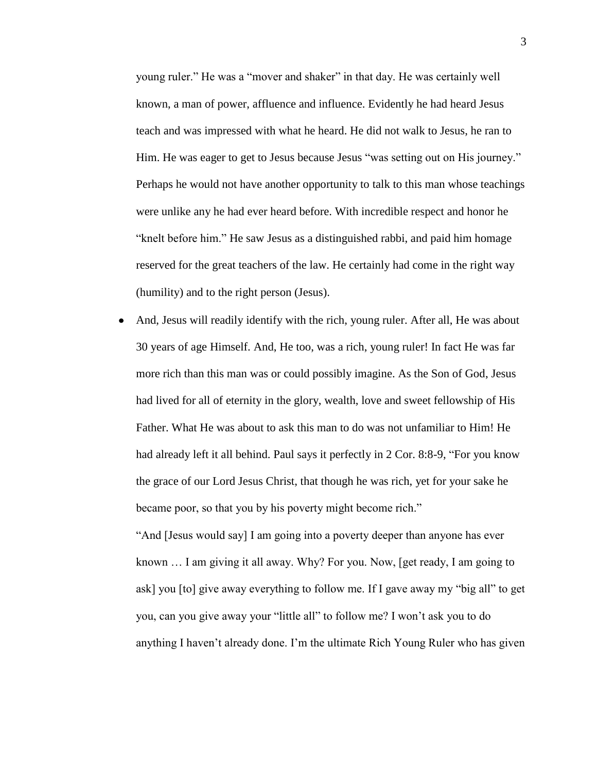young ruler." He was a "mover and shaker" in that day. He was certainly well known, a man of power, affluence and influence. Evidently he had heard Jesus teach and was impressed with what he heard. He did not walk to Jesus, he ran to Him. He was eager to get to Jesus because Jesus "was setting out on His journey." Perhaps he would not have another opportunity to talk to this man whose teachings were unlike any he had ever heard before. With incredible respect and honor he "knelt before him." He saw Jesus as a distinguished rabbi, and paid him homage reserved for the great teachers of the law. He certainly had come in the right way (humility) and to the right person (Jesus).

And, Jesus will readily identify with the rich, young ruler. After all, He was about 30 years of age Himself. And, He too, was a rich, young ruler! In fact He was far more rich than this man was or could possibly imagine. As the Son of God, Jesus had lived for all of eternity in the glory, wealth, love and sweet fellowship of His Father. What He was about to ask this man to do was not unfamiliar to Him! He had already left it all behind. Paul says it perfectly in  $2 \text{ Cor. } 8:8-9$ , "For you know the grace of our Lord Jesus Christ, that though he was rich, yet for your sake he became poor, so that you by his poverty might become rich."

And [Jesus would say] I am going into a poverty deeper than anyone has ever known … I am giving it all away. Why? For you. Now, [get ready, I am going to ask] you  $[$ to] give away everything to follow me. If I gave away my "big all" to get you, can you give away your "little all" to follow me? I won't ask you to do anything I haven't already done. I'm the ultimate Rich Young Ruler who has given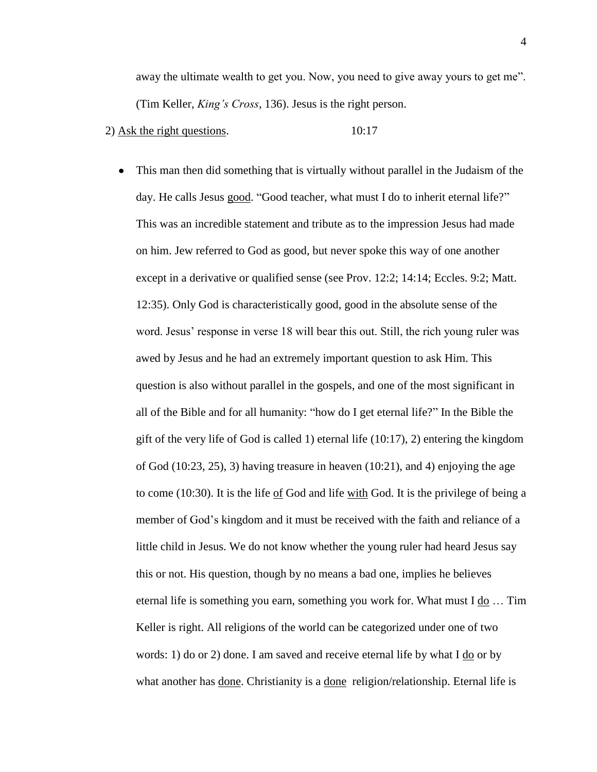away the ultimate wealth to get you. Now, you need to give away yours to get me". (Tim Keller, *King's Cross*, 136). Jesus is the right person.

## 2) Ask the right questions. 10:17

 $\bullet$ This man then did something that is virtually without parallel in the Judaism of the day. He calls Jesus good. "Good teacher, what must I do to inherit eternal life?" This was an incredible statement and tribute as to the impression Jesus had made on him. Jew referred to God as good, but never spoke this way of one another except in a derivative or qualified sense (see Prov. 12:2; 14:14; Eccles. 9:2; Matt. 12:35). Only God is characteristically good, good in the absolute sense of the word. Jesus' response in verse 18 will bear this out. Still, the rich young ruler was awed by Jesus and he had an extremely important question to ask Him. This question is also without parallel in the gospels, and one of the most significant in all of the Bible and for all humanity: "how do I get eternal life?" In the Bible the gift of the very life of God is called 1) eternal life (10:17), 2) entering the kingdom of God (10:23, 25), 3) having treasure in heaven (10:21), and 4) enjoying the age to come (10:30). It is the life of God and life with God. It is the privilege of being a member of God's kingdom and it must be received with the faith and reliance of a little child in Jesus. We do not know whether the young ruler had heard Jesus say this or not. His question, though by no means a bad one, implies he believes eternal life is something you earn, something you work for. What must I do … Tim Keller is right. All religions of the world can be categorized under one of two words: 1) do or 2) done. I am saved and receive eternal life by what I do or by what another has done. Christianity is a done religion/relationship. Eternal life is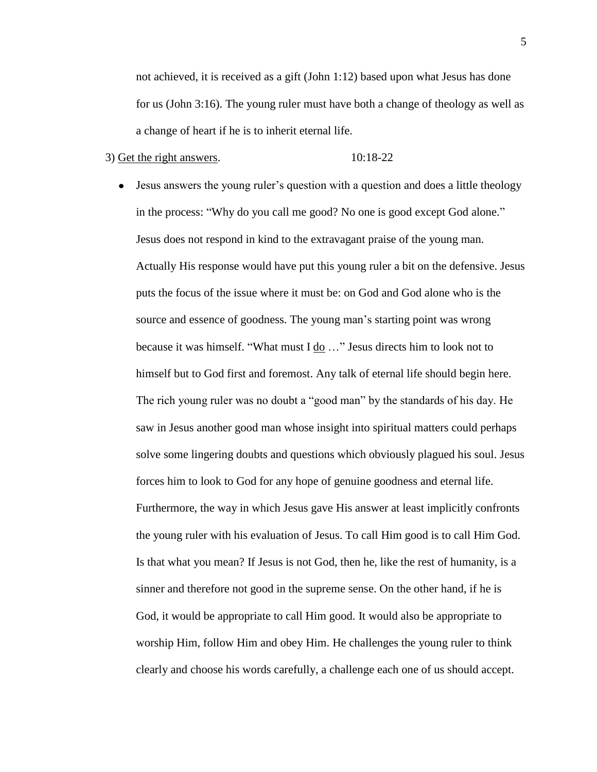not achieved, it is received as a gift (John 1:12) based upon what Jesus has done for us (John 3:16). The young ruler must have both a change of theology as well as a change of heart if he is to inherit eternal life.

# $3)$  Get the right answers.  $10:18-22$

Jesus answers the young ruler's question with a question and does a little theology  $\bullet$ in the process: "Why do you call me good? No one is good except God alone." Jesus does not respond in kind to the extravagant praise of the young man. Actually His response would have put this young ruler a bit on the defensive. Jesus puts the focus of the issue where it must be: on God and God alone who is the source and essence of goodness. The young man's starting point was wrong because it was himself. "What must  $I \underline{do} \dots$ " Jesus directs him to look not to himself but to God first and foremost. Any talk of eternal life should begin here. The rich young ruler was no doubt a "good man" by the standards of his day. He saw in Jesus another good man whose insight into spiritual matters could perhaps solve some lingering doubts and questions which obviously plagued his soul. Jesus forces him to look to God for any hope of genuine goodness and eternal life. Furthermore, the way in which Jesus gave His answer at least implicitly confronts the young ruler with his evaluation of Jesus. To call Him good is to call Him God. Is that what you mean? If Jesus is not God, then he, like the rest of humanity, is a sinner and therefore not good in the supreme sense. On the other hand, if he is God, it would be appropriate to call Him good. It would also be appropriate to worship Him, follow Him and obey Him. He challenges the young ruler to think clearly and choose his words carefully, a challenge each one of us should accept.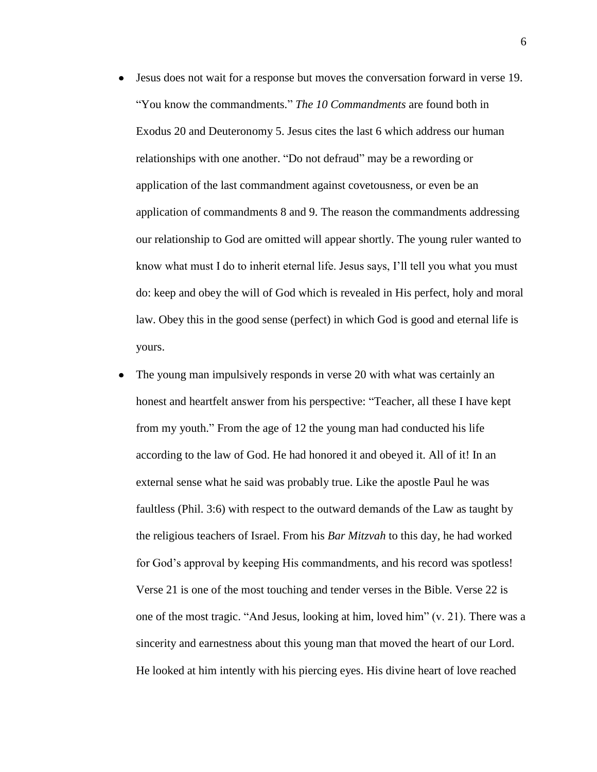- Jesus does not wait for a response but moves the conversation forward in verse 19. "You know the commandments." *The 10 Commandments* are found both in Exodus 20 and Deuteronomy 5. Jesus cites the last 6 which address our human relationships with one another. "Do not defraud" may be a rewording or application of the last commandment against covetousness, or even be an application of commandments 8 and 9. The reason the commandments addressing our relationship to God are omitted will appear shortly. The young ruler wanted to know what must I do to inherit eternal life. Jesus says, I'll tell you what you must do: keep and obey the will of God which is revealed in His perfect, holy and moral law. Obey this in the good sense (perfect) in which God is good and eternal life is yours.
- The young man impulsively responds in verse 20 with what was certainly an honest and heartfelt answer from his perspective: "Teacher, all these I have kept from my youth." From the age of 12 the young man had conducted his life according to the law of God. He had honored it and obeyed it. All of it! In an external sense what he said was probably true. Like the apostle Paul he was faultless (Phil. 3:6) with respect to the outward demands of the Law as taught by the religious teachers of Israel. From his *Bar Mitzvah* to this day, he had worked for God's approval by keeping His commandments, and his record was spotless! Verse 21 is one of the most touching and tender verses in the Bible. Verse 22 is one of the most tragic. "And Jesus, looking at him, loved him"  $(v, 21)$ . There was a sincerity and earnestness about this young man that moved the heart of our Lord. He looked at him intently with his piercing eyes. His divine heart of love reached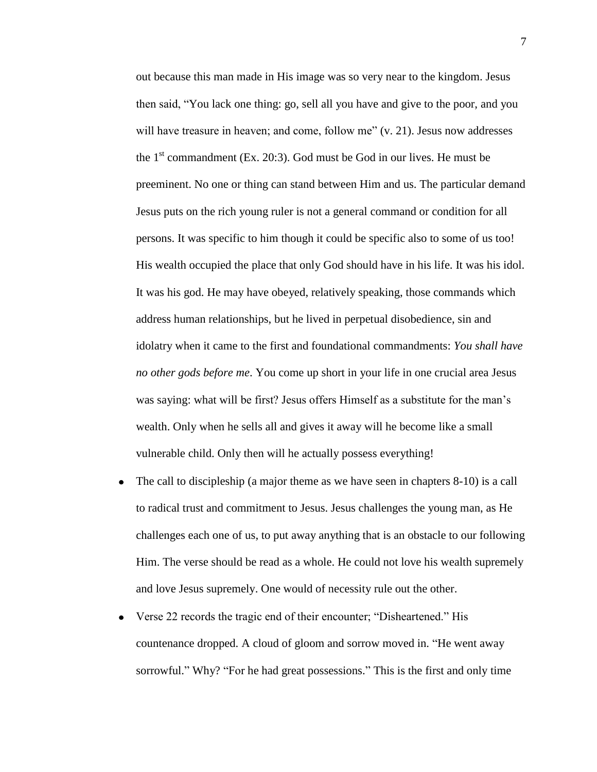out because this man made in His image was so very near to the kingdom. Jesus then said, "You lack one thing: go, sell all you have and give to the poor, and you will have treasure in heaven; and come, follow me"  $(v, 21)$ . Jesus now addresses the  $1<sup>st</sup>$  commandment (Ex. 20:3). God must be God in our lives. He must be preeminent. No one or thing can stand between Him and us. The particular demand Jesus puts on the rich young ruler is not a general command or condition for all persons. It was specific to him though it could be specific also to some of us too! His wealth occupied the place that only God should have in his life. It was his idol. It was his god. He may have obeyed, relatively speaking, those commands which address human relationships, but he lived in perpetual disobedience, sin and idolatry when it came to the first and foundational commandments: *You shall have no other gods before me*. You come up short in your life in one crucial area Jesus was saying: what will be first? Jesus offers Himself as a substitute for the man's wealth. Only when he sells all and gives it away will he become like a small vulnerable child. Only then will he actually possess everything!

- The call to discipleship (a major theme as we have seen in chapters 8-10) is a call to radical trust and commitment to Jesus. Jesus challenges the young man, as He challenges each one of us, to put away anything that is an obstacle to our following Him. The verse should be read as a whole. He could not love his wealth supremely and love Jesus supremely. One would of necessity rule out the other.
- Verse 22 records the tragic end of their encounter; "Disheartened." His countenance dropped. A cloud of gloom and sorrow moved in. "He went away" sorrowful." Why? "For he had great possessions." This is the first and only time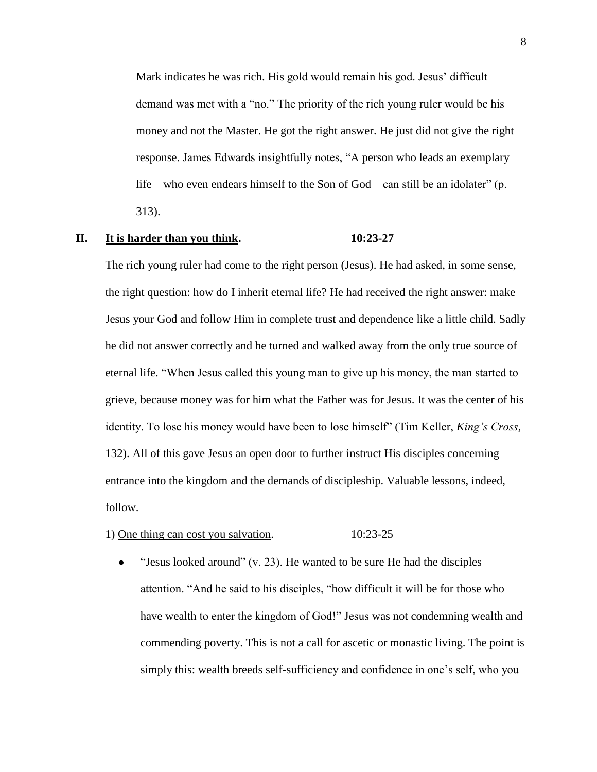Mark indicates he was rich. His gold would remain his god. Jesus' difficult demand was met with a "no." The priority of the rich young ruler would be his money and not the Master. He got the right answer. He just did not give the right response. James Edwards insightfully notes, "A person who leads an exemplary life – who even endears himself to the Son of God – can still be an idolater" (p. 313).

## **II. It is harder than you think. 10:23-27**

The rich young ruler had come to the right person (Jesus). He had asked, in some sense, the right question: how do I inherit eternal life? He had received the right answer: make Jesus your God and follow Him in complete trust and dependence like a little child. Sadly he did not answer correctly and he turned and walked away from the only true source of eternal life. "When Jesus called this young man to give up his money, the man started to grieve, because money was for him what the Father was for Jesus. It was the center of his identity. To lose his money would have been to lose himself" (Tim Keller, *King's Cross*, 132). All of this gave Jesus an open door to further instruct His disciples concerning entrance into the kingdom and the demands of discipleship. Valuable lessons, indeed, follow.

## 1) One thing can cost you salvation. 10:23-25

 $\bullet$ "Jesus looked around"  $(v. 23)$ . He wanted to be sure He had the disciples attention. "And he said to his disciples, "how difficult it will be for those who have wealth to enter the kingdom of God!" Jesus was not condemning wealth and commending poverty. This is not a call for ascetic or monastic living. The point is simply this: wealth breeds self-sufficiency and confidence in one's self, who you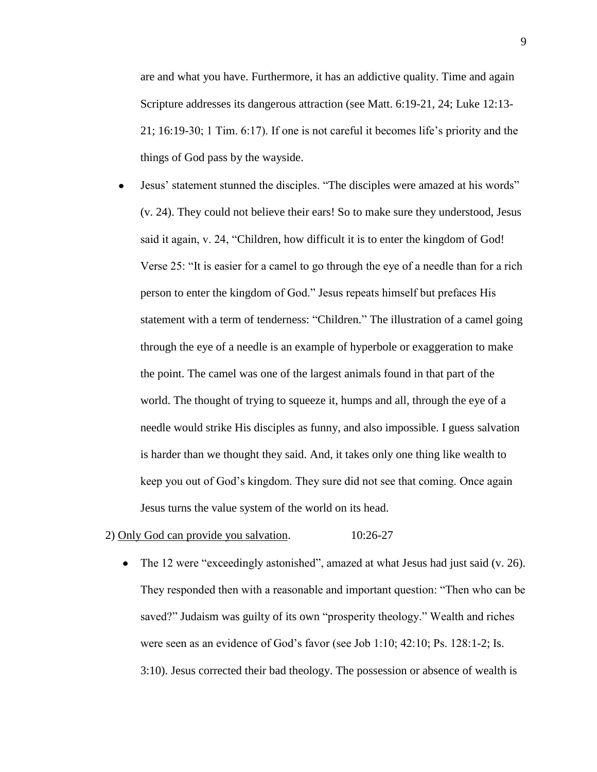are and what you have. Furthermore, it has an addictive quality. Time and again Scripture addresses its dangerous attraction (see Matt. 6:19-21, 24; Luke 12:13- 21; 16:19-30; 1 Tim. 6:17). If one is not careful it becomes life's priority and the things of God pass by the wayside.

Jesus' statement stunned the disciples. "The disciples were amazed at his words"  $\bullet$ (v. 24). They could not believe their ears! So to make sure they understood, Jesus said it again, v. 24, "Children, how difficult it is to enter the kingdom of God! Verse 25: "It is easier for a camel to go through the eye of a needle than for a rich person to enter the kingdom of God." Jesus repeats himself but prefaces His statement with a term of tenderness: "Children." The illustration of a camel going through the eye of a needle is an example of hyperbole or exaggeration to make the point. The camel was one of the largest animals found in that part of the world. The thought of trying to squeeze it, humps and all, through the eye of a needle would strike His disciples as funny, and also impossible. I guess salvation is harder than we thought they said. And, it takes only one thing like wealth to keep you out of God's kingdom. They sure did not see that coming. Once again Jesus turns the value system of the world on its head.

#### 2) Only God can provide you salvation. 10:26-27

The 12 were "exceedingly astonished", amazed at what Jesus had just said (v. 26).  $\bullet$ They responded then with a reasonable and important question: "Then who can be saved?" Judaism was guilty of its own "prosperity theology." Wealth and riches were seen as an evidence of God's favor (see Job 1:10; 42:10; Ps. 128:1-2; Is. 3:10). Jesus corrected their bad theology. The possession or absence of wealth is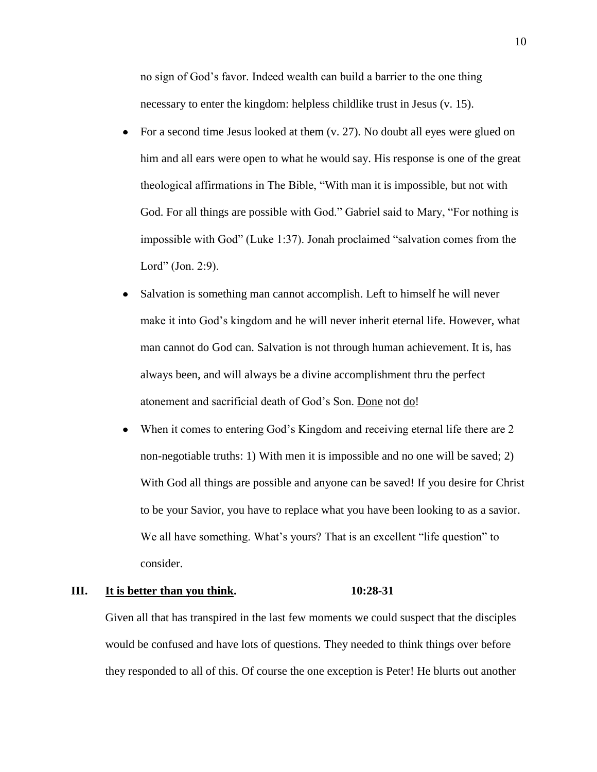no sign of God's favor. Indeed wealth can build a barrier to the one thing necessary to enter the kingdom: helpless childlike trust in Jesus (v. 15).

- For a second time Jesus looked at them (v. 27). No doubt all eyes were glued on him and all ears were open to what he would say. His response is one of the great theological affirmations in The Bible, "With man it is impossible, but not with God. For all things are possible with God." Gabriel said to Mary, "For nothing is impossible with God" (Luke 1:37). Jonah proclaimed "salvation comes from the Lord" (Jon. 2:9).
- $\bullet$ Salvation is something man cannot accomplish. Left to himself he will never make it into God's kingdom and he will never inherit eternal life. However, what man cannot do God can. Salvation is not through human achievement. It is, has always been, and will always be a divine accomplishment thru the perfect atonement and sacrificial death of God's Son. Done not do!
- When it comes to entering God's Kingdom and receiving eternal life there are 2  $\bullet$ non-negotiable truths: 1) With men it is impossible and no one will be saved; 2) With God all things are possible and anyone can be saved! If you desire for Christ to be your Savior, you have to replace what you have been looking to as a savior. We all have something. What's yours? That is an excellent "life question" to consider.

# **III. It is better than you think. 10:28-31**

Given all that has transpired in the last few moments we could suspect that the disciples would be confused and have lots of questions. They needed to think things over before they responded to all of this. Of course the one exception is Peter! He blurts out another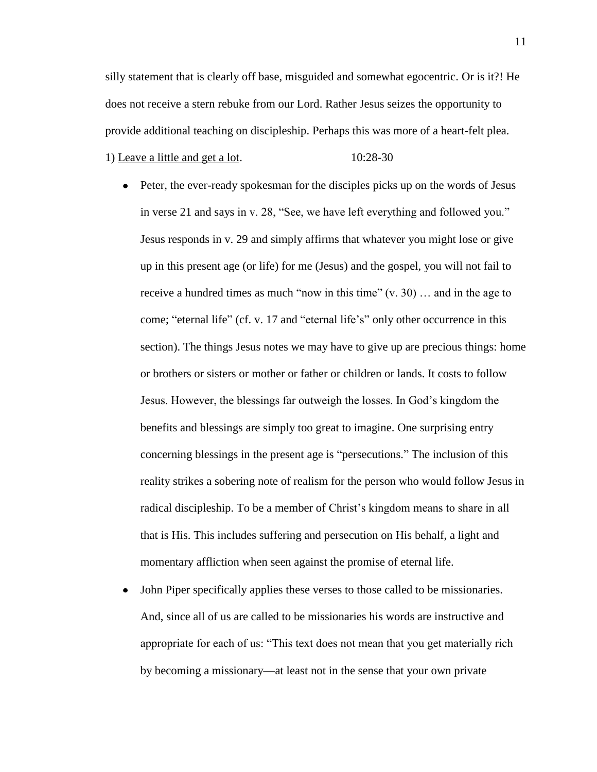silly statement that is clearly off base, misguided and somewhat egocentric. Or is it?! He does not receive a stern rebuke from our Lord. Rather Jesus seizes the opportunity to provide additional teaching on discipleship. Perhaps this was more of a heart-felt plea. 1) Leave a little and get a lot. 10:28-30

- Peter, the ever-ready spokesman for the disciples picks up on the words of Jesus in verse 21 and says in v. 28, "See, we have left everything and followed you." Jesus responds in v. 29 and simply affirms that whatever you might lose or give up in this present age (or life) for me (Jesus) and the gospel, you will not fail to receive a hundred times as much "now in this time"  $(v, 30)$  ... and in the age to come; "eternal life" (cf. v. 17 and "eternal life's" only other occurrence in this section). The things Jesus notes we may have to give up are precious things: home or brothers or sisters or mother or father or children or lands. It costs to follow Jesus. However, the blessings far outweigh the losses. In God's kingdom the benefits and blessings are simply too great to imagine. One surprising entry concerning blessings in the present age is "persecutions." The inclusion of this reality strikes a sobering note of realism for the person who would follow Jesus in radical discipleship. To be a member of Christ's kingdom means to share in all that is His. This includes suffering and persecution on His behalf, a light and momentary affliction when seen against the promise of eternal life.
- John Piper specifically applies these verses to those called to be missionaries.  $\bullet$ And, since all of us are called to be missionaries his words are instructive and appropriate for each of us: "This text does not mean that you get materially rich by becoming a missionary—at least not in the sense that your own private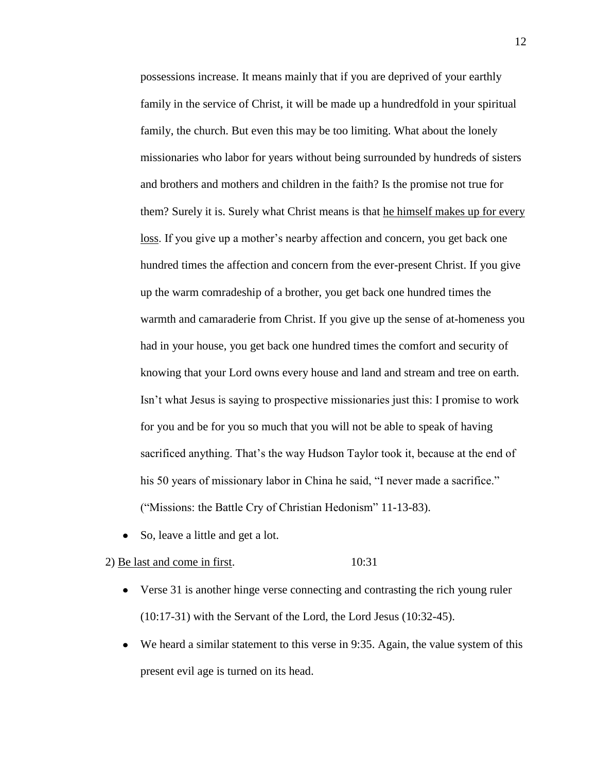possessions increase. It means mainly that if you are deprived of your earthly family in the service of Christ, it will be made up a hundredfold in your spiritual family, the church. But even this may be too limiting. What about the lonely missionaries who labor for years without being surrounded by hundreds of sisters and brothers and mothers and children in the faith? Is the promise not true for them? Surely it is. Surely what Christ means is that he himself makes up for every loss. If you give up a mother's nearby affection and concern, you get back one hundred times the affection and concern from the ever-present Christ. If you give up the warm comradeship of a brother, you get back one hundred times the warmth and camaraderie from Christ. If you give up the sense of at-homeness you had in your house, you get back one hundred times the comfort and security of knowing that your Lord owns every house and land and stream and tree on earth. Isn't what Jesus is saying to prospective missionaries just this: I promise to work for you and be for you so much that you will not be able to speak of having sacrificed anything. That's the way Hudson Taylor took it, because at the end of his 50 years of missionary labor in China he said, "I never made a sacrifice." ("Missions: the Battle Cry of Christian Hedonism" 11-13-83).

So, leave a little and get a lot.  $\bullet$ 

# 2) Be last and come in first. 10:31

- Verse 31 is another hinge verse connecting and contrasting the rich young ruler (10:17-31) with the Servant of the Lord, the Lord Jesus (10:32-45).
- We heard a similar statement to this verse in 9:35. Again, the value system of this  $\bullet$ present evil age is turned on its head.